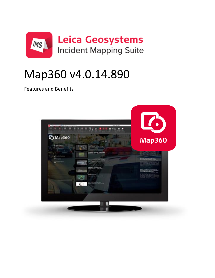

# Map360 v4.0.14.890

Features and Benefits

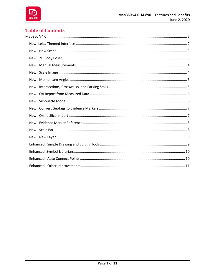

## **Table of Contents**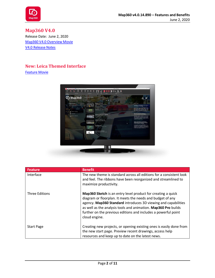

<span id="page-2-0"></span>**Map360 V4.0** Release Date: June 2, 2020 [Map360 V4.0](https://s3.microsurvey.com/movies/ims-map360/general/40intro/map360-intro.mp4) Overview Movie V4.0 [Release Notes](http://s3.microsurvey.com/ims-map360/4.0/Map360+V4.0+Release+Notes.pdf)

#### <span id="page-2-1"></span>**New: Leica Themed Interface**



| <b>Feature</b>        | <b>Benefit</b>                                                                                                                                                                                                                                                                                                                                    |
|-----------------------|---------------------------------------------------------------------------------------------------------------------------------------------------------------------------------------------------------------------------------------------------------------------------------------------------------------------------------------------------|
| Interface             | The new theme is standard across all editions for a consistent look<br>and feel. The ribbons have been reorganized and streamlined to<br>maximize productivity.                                                                                                                                                                                   |
| <b>Three Editions</b> | Map360 Sketch is an entry level product for creating a quick<br>diagram or floorplan. It meets the needs and budget of any<br>agency. Map360 Standard introduces 3D viewing and capabilities<br>as well as the analysis tools and animation. Map360 Pro builds<br>further on the previous editions and includes a powerful point<br>cloud engine. |
| <b>Start Page</b>     | Creating new projects, or opening existing ones is easily done from<br>the new start page. Preview recent drawings, access help<br>resources and keep up to date on the latest news.                                                                                                                                                              |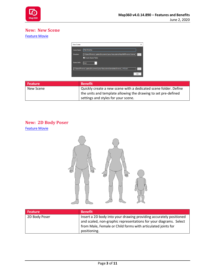

## <span id="page-3-0"></span>**New: New Scene**

## [Feature Movie](http://s3.microsurvey.com/movies/ims-map360/ims-map360-cts-cad/newscene.mp4)



| <b>Feature</b> | <b>Benefit</b>                                                   |
|----------------|------------------------------------------------------------------|
| New Scene      | Quickly create a new scene with a dedicated scene folder. Define |
|                | the units and template allowing the drawing to set pre-defined   |
|                | settings and styles for your scene.                              |

## <span id="page-3-1"></span>**New: 2D Body Poser**



| <b>Feature</b> | <b>Benefit</b>                                                                                                                                                                                                          |
|----------------|-------------------------------------------------------------------------------------------------------------------------------------------------------------------------------------------------------------------------|
| 2D Body Poser  | Insert a 2D body into your drawing providing accurately positioned<br>and scaled, non-graphic representations for your diagrams. Select<br>from Male, Female or Child forms with articulated joints for<br>positioning. |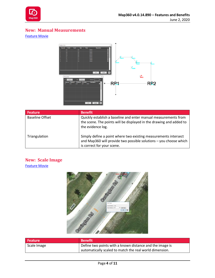

## <span id="page-4-0"></span>**New: Manual Measurements**

#### [Feature Movie](http://s3.microsurvey.com/movies/ims-map360/ims-map360-cts-cad/manualmeasurements.mp4)



| <b>Feature</b>         | <b>Benefit</b>                                                                                                                                                     |
|------------------------|--------------------------------------------------------------------------------------------------------------------------------------------------------------------|
| <b>Baseline Offset</b> | Quickly establish a baseline and enter manual measurements from<br>the scene. The points will be displayed in the drawing and added to<br>the evidence log.        |
| Triangulation          | Simply define a point where two existing measurements intersect<br>and Map360 will provide two possible solutions - you choose which<br>is correct for your scene. |

## <span id="page-4-1"></span>**New: Scale Image** [Feature Movie](http://s3.microsurvey.com/movies/ims-map360/ims-map360-cts-cad/scaleimage.mp4)



| Feature     | <b>Benefit</b>                                           |
|-------------|----------------------------------------------------------|
| Scale Image | Define two points with a known distance and the image is |
|             | automatically scaled to match the real world dimension.  |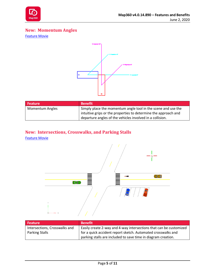

## <span id="page-5-0"></span>**New: Momentum Angles**

[Feature Movie](http://s3.microsurvey.com/movies/ims-map360/ims-map360-cts-cad/momentum.mp4)



| Feature <sup>1</sup>   | <b>Benefit</b>                                                  |
|------------------------|-----------------------------------------------------------------|
| <b>Momentum Angles</b> | Simply place the momentum angle tool in the scene and use the   |
|                        | intuitive grips or the properties to determine the approach and |
|                        | departure angles of the vehicles involved in a collision.       |

## <span id="page-5-1"></span>**New: Intersections, Crosswalks, and Parking Stalls**



| <b>Feature</b>                | <b>Benefit</b>                                                     |
|-------------------------------|--------------------------------------------------------------------|
| Intersections, Crosswalks and | Easily create 2-way and 4-way intersections that can be customized |
| <b>Parking Stalls</b>         | for a quick accident report sketch. Automated crosswalks and       |
|                               | parking stalls are included to save time in diagram creation.      |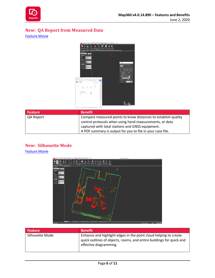

# <span id="page-6-0"></span>**New: QA Report from Measured Data**

[Feature Movie](http://s3.microsurvey.com/movies/ims-map360/ims-map360-cts-cad/qareport.mp4)



| <b>Feature</b> | <b>Benefit</b>                                                 |
|----------------|----------------------------------------------------------------|
| QA Report      | Compare measured points to know distances to establish quality |
|                | control protocols when using hand measurements, or data        |
|                | captured with total stations and GNSS equipment.               |
|                | A PDF summary is output for you to file in your case file.     |

## <span id="page-6-1"></span>**New: Silhouette Mode**



| <b>Feature</b>  | <b>Benefit</b>                                                                                                                                                     |
|-----------------|--------------------------------------------------------------------------------------------------------------------------------------------------------------------|
| Silhouette Mode | Enhance and highlight edges in the point cloud helping to create<br>quick outlines of objects, rooms, and entire buildings for quick and<br>effective diagramming. |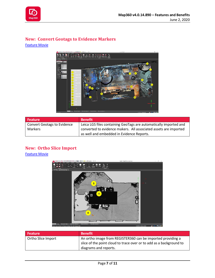

## <span id="page-7-0"></span>**New: Convert Geotags to Evidence Markers**

[Feature Movie](http://s3.microsurvey.com/movies/ims-map360/ims-map360-cts-cad/geotags.mp4)



| <b>Feature</b>                     | <b>Benefit</b>                                                    |
|------------------------------------|-------------------------------------------------------------------|
| <b>Convert Geotags to Evidence</b> | Leica LGS files containing GeoTags are automatically imported and |
| Markers                            | converted to evidence makers. All associated assets are imported  |
|                                    | as well and embedded in Evidence Reports.                         |

## <span id="page-7-1"></span>**New: Ortho Slice Import**



| <b>Feature</b>     | <b>Benefit</b>                                                                                                                     |
|--------------------|------------------------------------------------------------------------------------------------------------------------------------|
| Ortho Slice Import | An ortho image from REGISTER360 can be imported providing a<br>slice of the point cloud to trace over or to add as a background to |
|                    | diagrams and reports.                                                                                                              |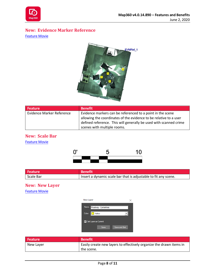

## <span id="page-8-0"></span>**New: Evidence Marker Reference**

[Feature Movie](http://s3.microsurvey.com/movies/ims-map360/ims-map360-cts-cad/evmref.mp4)



| <b>Feature</b>            | <b>Benefit</b>                                                    |
|---------------------------|-------------------------------------------------------------------|
| Evidence Marker Reference | Evidence markers can be referenced to a point in the scene        |
|                           | allowing the coordinates of the evidence to be relative to a user |
|                           | defined reference. This will generally be used with scanned crime |
|                           | scenes with multiple rooms.                                       |

## <span id="page-8-1"></span>**New: Scale Bar** [Feature Movie](http://s3.microsurvey.com/movies/ims-map360/ims-map360-cts-cad/scalebar.mp4)



| Feature   | <b>Benefit</b> '                                                |
|-----------|-----------------------------------------------------------------|
| Scale Bar | Insert a dynamic scale bar that is adjustable to fit any scene. |

#### <span id="page-8-2"></span>**New: New Layer**



| Feature   | <b>Benefit</b>                                                      |
|-----------|---------------------------------------------------------------------|
| New Layer | Easily create new layers to effectively organize the drawn items in |
|           | the scene.                                                          |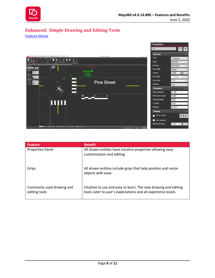

## <span id="page-9-0"></span>**Enhanced: Simple Drawing and Editing Tools**



| <b>Feature</b>                             | <b>Benefit</b>                                                                                                                   |
|--------------------------------------------|----------------------------------------------------------------------------------------------------------------------------------|
| Properties Panel                           | All drawn entities have intuitive properties allowing easy<br>customization and editing.                                         |
| Grips                                      | All drawn entities include grips that help position and resize<br>objects with ease.                                             |
| Commonly used drawing and<br>editing tools | Intuitive to use and easy to learn. The new drawing and editing<br>tools cater to user's expectations and all experience levels. |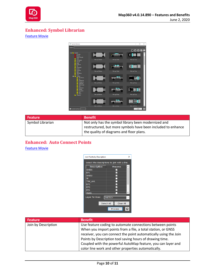

## <span id="page-10-0"></span>**Enhanced: Symbol Librarian**

#### [Feature Movie](http://s3.microsurvey.com/movies/ims-map360/ims-map360-cts-cad/symbols.mp4)



| <b>Feature</b>   | <b>Benefit</b>                                                                                                      |
|------------------|---------------------------------------------------------------------------------------------------------------------|
| Symbol Librarian | Not only has the symbol library been modernized and<br>restructured, but more symbols have been included to enhance |
|                  | the quality of diagrams and floor plans.                                                                            |

## <span id="page-10-1"></span>**Enhanced: Auto Connect Points**

| Join Points by Description                   | ×              |  |
|----------------------------------------------|----------------|--|
| Select the descriptions to join with a line. |                |  |
| <b>Description</b>                           | <b>Process</b> |  |
| SKID1                                        | $\checkmark$   |  |
| EP <sub>1</sub>                              | $\checkmark$   |  |
| SKID <sub>2</sub>                            | ✓              |  |
| W                                            |                |  |
| <b>TRK AXL</b>                               |                |  |
| EP <sub>2</sub>                              | ✓              |  |
| EP3                                          | ✓              |  |
| EP4                                          | ✓              |  |
| VEH <sub>1</sub>                             | $\checkmark$   |  |
| Layer for lines:                             | <b>SKETCH</b>  |  |
| Select All                                   | Clear All      |  |
|                                              | <b>Process</b> |  |

| <b>Feature</b>      | <b>Benefit</b>                                                   |
|---------------------|------------------------------------------------------------------|
| Join by Description | Use feature coding to automate connections between points        |
|                     | When you import points from a file, a total station, or GNSS     |
|                     | receiver, you can connect the point automatically using the Join |
|                     | Points by Description tool saving hours of drawing time.         |
|                     | Coupled with the powerful AutoMap feature, you can layer and     |
|                     | color line work and other properties automatically.              |